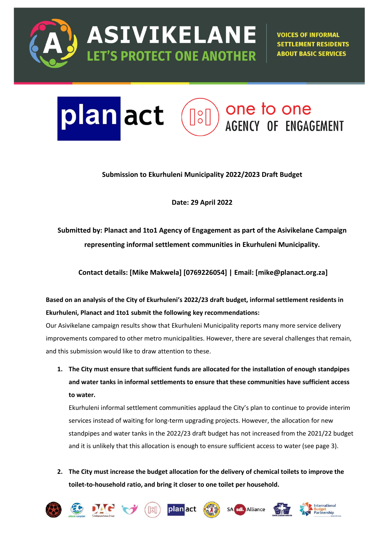

**ASIVIKELANE LET'S PROTECT ONE ANOTHER** 

**VOICES OF INFORMAL SETTLEMENT RESIDENTS ABOUT BASIC SERVICES** 

# plan act one to one  $\lceil \cdot \rceil$ **AGENCY OF ENGAGEMENT**

## **Submission to Ekurhuleni Municipality 2022/2023 Draft Budget**

**Date: 29 April 2022**

**Submitted by: Planact and 1to1 Agency of Engagement as part of the Asivikelane Campaign representing informal settlement communities in Ekurhuleni Municipality.** 

**Contact details: [Mike Makwela] [0769226054] | Email: [mike@planact.org.za]**

**Based on an analysis of the City of Ekurhuleni's 2022/23 draft budget, informal settlement residents in Ekurhuleni, Planact and 1to1 submit the following key recommendations:**

Our Asivikelane campaign results show that Ekurhuleni Municipality reports many more service delivery improvements compared to other metro municipalities. However, there are several challenges that remain, and this submission would like to draw attention to these.

**1. The City must ensure that sufficient funds are allocated for the installation of enough standpipes and water tanks in informal settlements to ensure that these communities have sufficient access to water.**

Ekurhuleni informal settlement communities applaud the City's plan to continue to provide interim services instead of waiting for long-term upgrading projects. However, the allocation for new standpipes and water tanks in the 2022/23 draft budget has not increased from the 2021/22 budget and it is unlikely that this allocation is enough to ensure sufficient access to water (see page 3).

**2. The City must increase the budget allocation for the delivery of chemical toilets to improve the toilet-to-household ratio, and bring it closer to one toilet per household.**













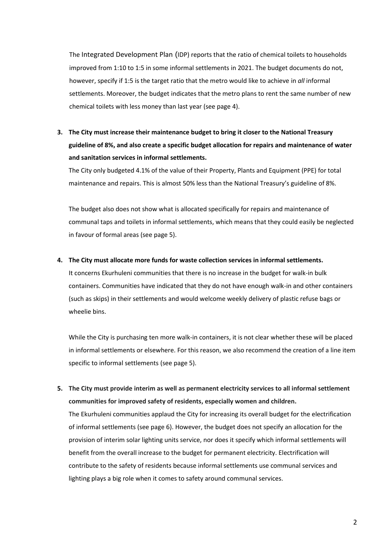The Integrated Development Plan (IDP) reports that the ratio of chemical toilets to households improved from 1:10 to 1:5 in some informal settlements in 2021. The budget documents do not, however, specify if 1:5 is the target ratio that the metro would like to achieve in *all* informal settlements. Moreover, the budget indicates that the metro plans to rent the same number of new chemical toilets with less money than last year (see page 4).

**3. The City must increase their maintenance budget to bring it closer to the National Treasury guideline of 8%, and also create a specific budget allocation for repairs and maintenance of water and sanitation services in informal settlements.**

The City only budgeted 4.1% of the value of their Property, Plants and Equipment (PPE) for total maintenance and repairs. This is almost 50% less than the National Treasury's guideline of 8%.

The budget also does not show what is allocated specifically for repairs and maintenance of communal taps and toilets in informal settlements, which means that they could easily be neglected in favour of formal areas (see page 5).

## **4. The City must allocate more funds for waste collection services in informal settlements.**

It concerns Ekurhuleni communities that there is no increase in the budget for walk-in bulk containers. Communities have indicated that they do not have enough walk-in and other containers (such as skips) in their settlements and would welcome weekly delivery of plastic refuse bags or wheelie bins.

While the City is purchasing ten more walk-in containers, it is not clear whether these will be placed in informal settlements or elsewhere. For this reason, we also recommend the creation of a line item specific to informal settlements (see page 5).

**5. The City must provide interim as well as permanent electricity services to all informal settlement communities for improved safety of residents, especially women and children.**

The Ekurhuleni communities applaud the City for increasing its overall budget for the electrification of informal settlements (see page 6). However, the budget does not specify an allocation for the provision of interim solar lighting units service, nor does it specify which informal settlements will benefit from the overall increase to the budget for permanent electricity. Electrification will contribute to the safety of residents because informal settlements use communal services and lighting plays a big role when it comes to safety around communal services.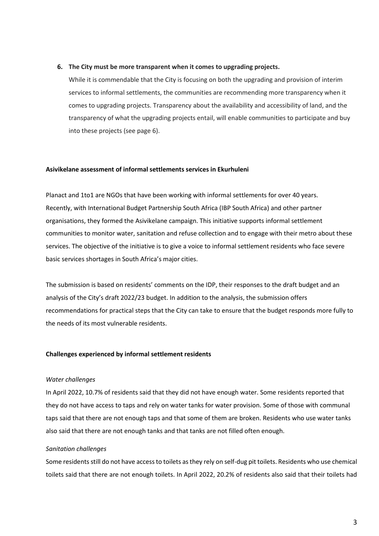#### **6. The City must be more transparent when it comes to upgrading projects.**

While it is commendable that the City is focusing on both the upgrading and provision of interim services to informal settlements, the communities are recommending more transparency when it comes to upgrading projects. Transparency about the availability and accessibility of land, and the transparency of what the upgrading projects entail, will enable communities to participate and buy into these projects (see page 6).

## **Asivikelane assessment of informal settlements services in Ekurhuleni**

Planact and 1to1 are NGOs that have been working with informal settlements for over 40 years. Recently, with International Budget Partnership South Africa (IBP South Africa) and other partner organisations, they formed the Asivikelane campaign. This initiative supports informal settlement communities to monitor water, sanitation and refuse collection and to engage with their metro about these services. The objective of the initiative is to give a voice to informal settlement residents who face severe basic services shortages in South Africa's major cities.

The submission is based on residents' comments on the IDP, their responses to the draft budget and an analysis of the City's draft 2022/23 budget. In addition to the analysis, the submission offers recommendations for practical steps that the City can take to ensure that the budget responds more fully to the needs of its most vulnerable residents.

## **Challenges experienced by informal settlement residents**

## *Water challenges*

In April 2022, 10.7% of residents said that they did not have enough water. Some residents reported that they do not have access to taps and rely on water tanks for water provision. Some of those with communal taps said that there are not enough taps and that some of them are broken. Residents who use water tanks also said that there are not enough tanks and that tanks are not filled often enough.

## *Sanitation challenges*

Some residents still do not have access to toilets as they rely on self-dug pit toilets. Residents who use chemical toilets said that there are not enough toilets. In April 2022, 20.2% of residents also said that their toilets had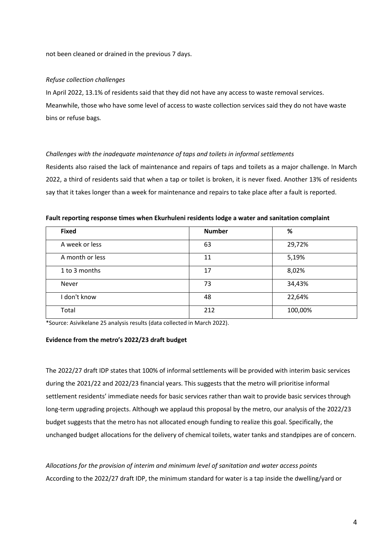not been cleaned or drained in the previous 7 days.

#### *Refuse collection challenges*

In April 2022, 13.1% of residents said that they did not have any access to waste removal services. Meanwhile, those who have some level of access to waste collection services said they do not have waste bins or refuse bags*.*

## *Challenges with the inadequate maintenance of taps and toilets in informal settlements*

Residents also raised the lack of maintenance and repairs of taps and toilets as a major challenge. In March 2022, a third of residents said that when a tap or toilet is broken, it is never fixed. Another 13% of residents say that it takes longer than a week for maintenance and repairs to take place after a fault is reported.

| <b>Fixed</b>    | <b>Number</b> | %       |
|-----------------|---------------|---------|
| A week or less  | 63            | 29,72%  |
| A month or less | 11            | 5,19%   |
| 1 to 3 months   | 17            | 8,02%   |
| Never           | 73            | 34,43%  |
| I don't know    | 48            | 22,64%  |
| Total           | 212           | 100,00% |

**Fault reporting response times when Ekurhuleni residents lodge a water and sanitation complaint**

\*Source: Asivikelane 25 analysis results (data collected in March 2022).

#### **Evidence from the metro's 2022/23 draft budget**

The 2022/27 draft IDP states that 100% of informal settlements will be provided with interim basic services during the 2021/22 and 2022/23 financial years. This suggests that the metro will prioritise informal settlement residents' immediate needs for basic services rather than wait to provide basic services through long-term upgrading projects. Although we applaud this proposal by the metro, our analysis of the 2022/23 budget suggests that the metro has not allocated enough funding to realize this goal. Specifically, the unchanged budget allocations for the delivery of chemical toilets, water tanks and standpipes are of concern.

*Allocations for the provision of interim and minimum level of sanitation and water access points* According to the 2022/27 draft IDP, the minimum standard for water is a tap inside the dwelling/yard or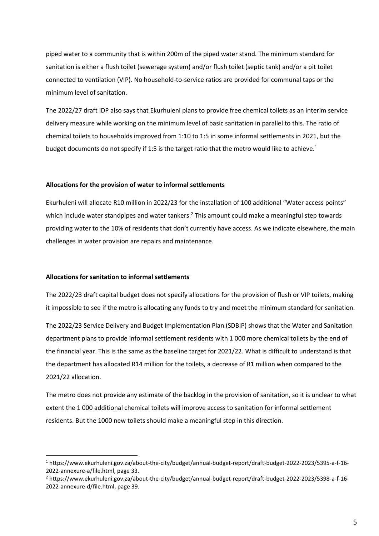piped water to a community that is within 200m of the piped water stand. The minimum standard for sanitation is either a flush toilet (sewerage system) and/or flush toilet (septic tank) and/or a pit toilet connected to ventilation (VIP). No household-to-service ratios are provided for communal taps or the minimum level of sanitation.

The 2022/27 draft IDP also says that Ekurhuleni plans to provide free chemical toilets as an interim service delivery measure while working on the minimum level of basic sanitation in parallel to this. The ratio of chemical toilets to households improved from 1:10 to 1:5 in some informal settlements in 2021, but the budget documents do not specify if 1:5 is the target ratio that the metro would like to achieve.<sup>1</sup>

#### **Allocations for the provision of water to informal settlements**

Ekurhuleni will allocate R10 million in 2022/23 for the installation of 100 additional "Water access points" which include water standpipes and water tankers.<sup>2</sup> This amount could make a meaningful step towards providing water to the 10% of residents that don't currently have access. As we indicate elsewhere, the main challenges in water provision are repairs and maintenance.

#### **Allocations for sanitation to informal settlements**

The 2022/23 draft capital budget does not specify allocations for the provision of flush or VIP toilets, making it impossible to see if the metro is allocating any funds to try and meet the minimum standard for sanitation.

The 2022/23 Service Delivery and Budget Implementation Plan (SDBIP) shows that the Water and Sanitation department plans to provide informal settlement residents with 1 000 more chemical toilets by the end of the financial year. This is the same as the baseline target for 2021/22. What is difficult to understand is that the department has allocated R14 million for the toilets, a decrease of R1 million when compared to the 2021/22 allocation.

The metro does not provide any estimate of the backlog in the provision of sanitation, so it is unclear to what extent the 1 000 additional chemical toilets will improve access to sanitation for informal settlement residents. But the 1000 new toilets should make a meaningful step in this direction.

<sup>1</sup> https://www.ekurhuleni.gov.za/about-the-city/budget/annual-budget-report/draft-budget-2022-2023/5395-a-f-16- 2022-annexure-a/file.html, page 33.

<sup>2</sup> https://www.ekurhuleni.gov.za/about-the-city/budget/annual-budget-report/draft-budget-2022-2023/5398-a-f-16- 2022-annexure-d/file.html, page 39.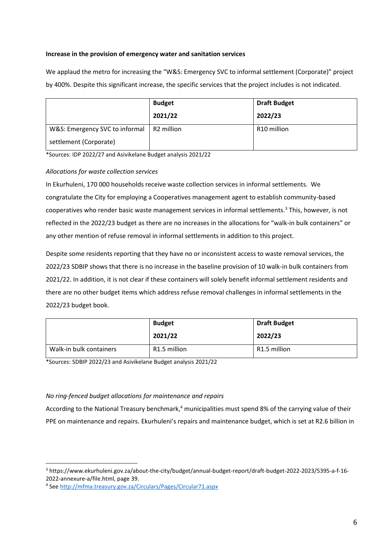## **Increase in the provision of emergency water and sanitation services**

We applaud the metro for increasing the "W&S: Emergency SVC to informal settlement (Corporate)" project by 400%. Despite this significant increase, the specific services that the project includes is not indicated.

|                                | <b>Budget</b>          | <b>Draft Budget</b>     |
|--------------------------------|------------------------|-------------------------|
|                                | 2021/22                | 2022/23                 |
| W&S: Emergency SVC to informal | R <sub>2</sub> million | R <sub>10</sub> million |
| settlement (Corporate)         |                        |                         |

\*Sources: IDP 2022/27 and Asivikelane Budget analysis 2021/22

## *Allocations for waste collection services*

In Ekurhuleni, 170 000 households receive waste collection services in informal settlements. We congratulate the City for employing a Cooperatives management agent to establish community-based cooperatives who render basic waste management services in informal settlements.<sup>3</sup> This, however, is not reflected in the 2022/23 budget as there are no increases in the allocations for "walk-in bulk containers" or any other mention of refuse removal in informal settlements in addition to this project.

Despite some residents reporting that they have no or inconsistent access to waste removal services, the 2022/23 SDBIP shows that there is no increase in the baseline provision of 10 walk-in bulk containers from 2021/22. In addition, it is not clear if these containers will solely benefit informal settlement residents and there are no other budget items which address refuse removal challenges in informal settlements in the 2022/23 budget book.

|                         | <b>Budget</b>            | <b>Draft Budget</b> |  |
|-------------------------|--------------------------|---------------------|--|
|                         | 2021/22                  | 2022/23             |  |
| Walk-in bulk containers | R <sub>1.5</sub> million | R1.5 million        |  |

\*Sources: SDBIP 2022/23 and Asivikelane Budget analysis 2021/22

## *No ring-fenced budget allocations for maintenance and repairs*

According to the National Treasury benchmark,<sup>4</sup> municipalities must spend 8% of the carrying value of their PPE on maintenance and repairs. Ekurhuleni's repairs and maintenance budget, which is set at R2.6 billion in

<sup>3</sup> https://www.ekurhuleni.gov.za/about-the-city/budget/annual-budget-report/draft-budget-2022-2023/5395-a-f-16- 2022-annexure-a/file.html, page 39.

<sup>4</sup> See<http://mfma.treasury.gov.za/Circulars/Pages/Circular71.aspx>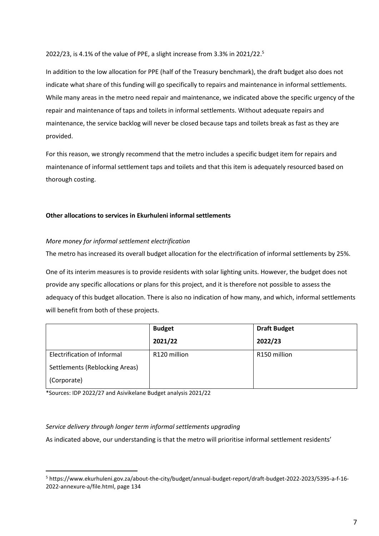2022/23, is 4.1% of the value of PPE, a slight increase from 3.3% in 2021/22. 5

In addition to the low allocation for PPE (half of the Treasury benchmark), the draft budget also does not indicate what share of this funding will go specifically to repairs and maintenance in informal settlements. While many areas in the metro need repair and maintenance, we indicated above the specific urgency of the repair and maintenance of taps and toilets in informal settlements. Without adequate repairs and maintenance, the service backlog will never be closed because taps and toilets break as fast as they are provided.

For this reason, we strongly recommend that the metro includes a specific budget item for repairs and maintenance of informal settlement taps and toilets and that this item is adequately resourced based on thorough costing.

## **Other allocations to services in Ekurhuleni informal settlements**

## *More money for informal settlement electrification*

The metro has increased its overall budget allocation for the electrification of informal settlements by 25%.

One of its interim measures is to provide residents with solar lighting units. However, the budget does not provide any specific allocations or plans for this project, and it is therefore not possible to assess the adequacy of this budget allocation. There is also no indication of how many, and which, informal settlements will benefit from both of these projects.

|                                    | <b>Budget</b> | <b>Draft Budget</b>      |  |
|------------------------------------|---------------|--------------------------|--|
|                                    | 2021/22       | 2022/23                  |  |
| <b>Electrification of Informal</b> | R120 million  | R <sub>150</sub> million |  |
| Settlements (Reblocking Areas)     |               |                          |  |
| (Corporate)                        |               |                          |  |

\*Sources: IDP 2022/27 and Asivikelane Budget analysis 2021/22

## *Service delivery through longer term informal settlements upgrading*

As indicated above, our understanding is that the metro will prioritise informal settlement residents'

<sup>5</sup> https://www.ekurhuleni.gov.za/about-the-city/budget/annual-budget-report/draft-budget-2022-2023/5395-a-f-16- 2022-annexure-a/file.html, page 134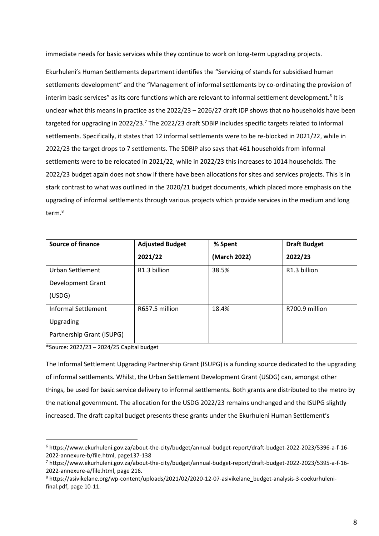immediate needs for basic services while they continue to work on long-term upgrading projects.

Ekurhuleni's Human Settlements department identifies the "Servicing of stands for subsidised human settlements development" and the "Management of informal settlements by co-ordinating the provision of interim basic services" as its core functions which are relevant to informal settlement development.<sup>6</sup> It is unclear what this means in practice as the 2022/23 – 2026/27 draft IDP shows that no households have been targeted for upgrading in 2022/23.<sup>7</sup> The 2022/23 draft SDBIP includes specific targets related to informal settlements. Specifically, it states that 12 informal settlements were to be re-blocked in 2021/22, while in 2022/23 the target drops to 7 settlements. The SDBIP also says that 461 households from informal settlements were to be relocated in 2021/22, while in 2022/23 this increases to 1014 households. The 2022/23 budget again does not show if there have been allocations for sites and services projects. This is in stark contrast to what was outlined in the 2020/21 budget documents, which placed more emphasis on the upgrading of informal settlements through various projects which provide services in the medium and long term.<sup>8</sup>

| <b>Source of finance</b>   | <b>Adjusted Budget</b> | % Spent      | <b>Draft Budget</b> |
|----------------------------|------------------------|--------------|---------------------|
|                            | 2021/22                | (March 2022) | 2022/23             |
| <b>Urban Settlement</b>    | R1.3 billion           | 38.5%        | R1.3 billion        |
| <b>Development Grant</b>   |                        |              |                     |
| (USDG)                     |                        |              |                     |
| <b>Informal Settlement</b> | R657.5 million         | 18.4%        | R700.9 million      |
| Upgrading                  |                        |              |                     |
| Partnership Grant (ISUPG)  |                        |              |                     |

\*Source: 2022/23 – 2024/25 Capital budget

The Informal Settlement Upgrading Partnership Grant (ISUPG) is a funding source dedicated to the upgrading of informal settlements. Whilst, the Urban Settlement Development Grant (USDG) can, amongst other things, be used for basic service delivery to informal settlements. Both grants are distributed to the metro by the national government. The allocation for the USDG 2022/23 remains unchanged and the ISUPG slightly increased. The draft capital budget presents these grants under the Ekurhuleni Human Settlement's

<sup>6</sup> https://www.ekurhuleni.gov.za/about-the-city/budget/annual-budget-report/draft-budget-2022-2023/5396-a-f-16- 2022-annexure-b/file.html, page137-138

<sup>7</sup> https://www.ekurhuleni.gov.za/about-the-city/budget/annual-budget-report/draft-budget-2022-2023/5395-a-f-16- 2022-annexure-a/file.html, page 216.

<sup>8</sup> https://asivikelane.org/wp-content/uploads/2021/02/2020-12-07-asivikelane\_budget-analysis-3-coekurhulenifinal.pdf, page 10-11.